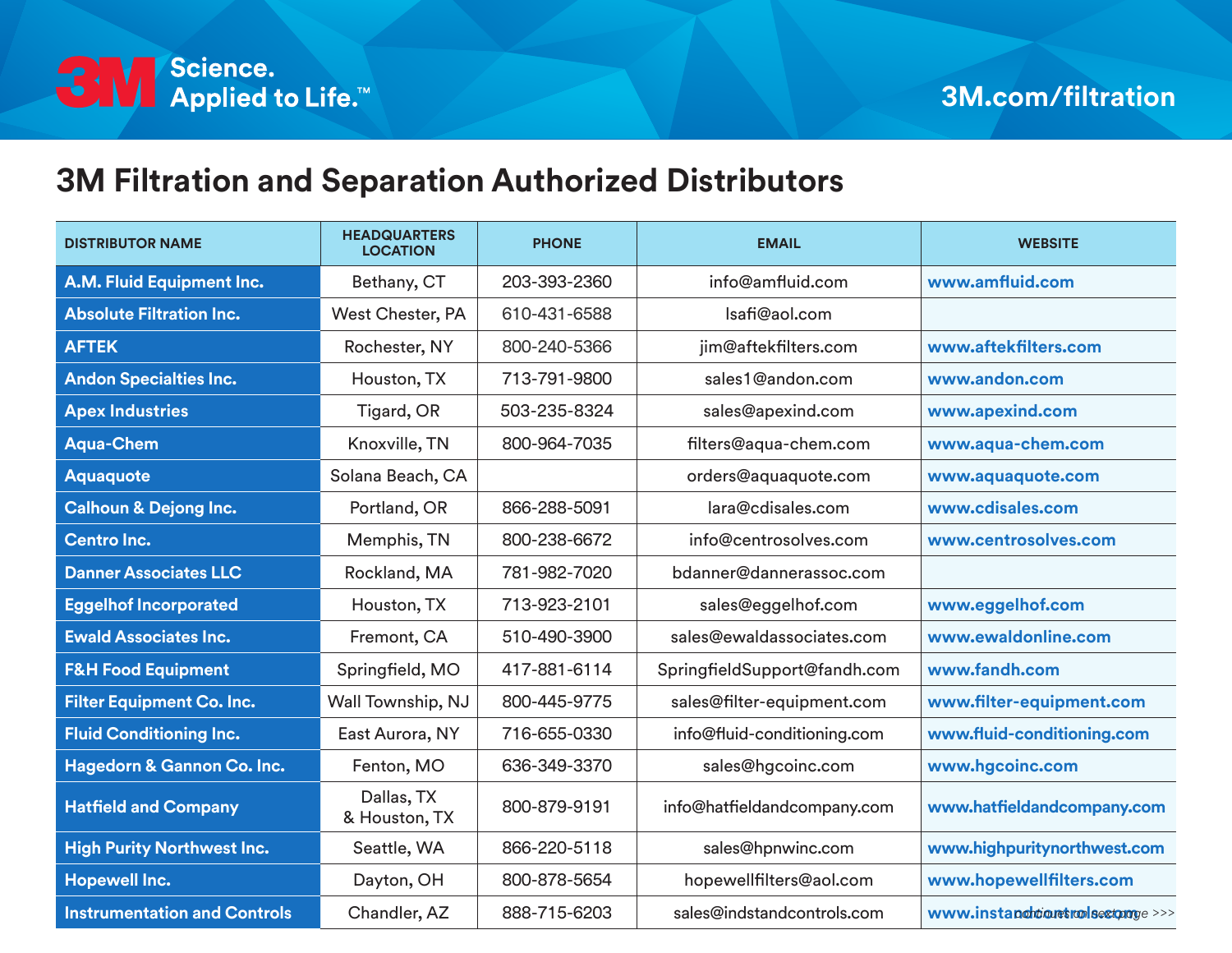

## **3M Filtration and Separation Authorized Distributors**

| <b>DISTRIBUTOR NAME</b>             | <b>HEADQUARTERS</b><br><b>LOCATION</b> | <b>PHONE</b> | <b>EMAIL</b>                 | <b>WEBSITE</b>                   |
|-------------------------------------|----------------------------------------|--------------|------------------------------|----------------------------------|
| A.M. Fluid Equipment Inc.           | Bethany, CT                            | 203-393-2360 | info@amfluid.com             | www.amfluid.com                  |
| <b>Absolute Filtration Inc.</b>     | West Chester, PA                       | 610-431-6588 | Isafi@aol.com                |                                  |
| <b>AFTEK</b>                        | Rochester, NY                          | 800-240-5366 | jim@aftekfilters.com         | www.aftekfilters.com             |
| <b>Andon Specialties Inc.</b>       | Houston, TX                            | 713-791-9800 | sales1@andon.com             | www.andon.com                    |
| <b>Apex Industries</b>              | Tigard, OR                             | 503-235-8324 | sales@apexind.com            | www.apexind.com                  |
| <b>Aqua-Chem</b>                    | Knoxville, TN                          | 800-964-7035 | filters@aqua-chem.com        | www.aqua-chem.com                |
| <b>Aquaquote</b>                    | Solana Beach, CA                       |              | orders@aquaquote.com         | www.aquaquote.com                |
| <b>Calhoun &amp; Dejong Inc.</b>    | Portland, OR                           | 866-288-5091 | lara@cdisales.com            | www.cdisales.com                 |
| <b>Centro Inc.</b>                  | Memphis, TN                            | 800-238-6672 | info@centrosolves.com        | www.centrosolves.com             |
| <b>Danner Associates LLC</b>        | Rockland, MA                           | 781-982-7020 | bdanner@dannerassoc.com      |                                  |
| <b>Eggelhof Incorporated</b>        | Houston, TX                            | 713-923-2101 | sales@eggelhof.com           | www.eggelhof.com                 |
| <b>Ewald Associates Inc.</b>        | Fremont, CA                            | 510-490-3900 | sales@ewaldassociates.com    | www.ewaldonline.com              |
| <b>F&amp;H Food Equipment</b>       | Springfield, MO                        | 417-881-6114 | SpringfieldSupport@fandh.com | www.fandh.com                    |
| <b>Filter Equipment Co. Inc.</b>    | Wall Township, NJ                      | 800-445-9775 | sales@filter-equipment.com   | www.filter-equipment.com         |
| <b>Fluid Conditioning Inc.</b>      | East Aurora, NY                        | 716-655-0330 | info@fluid-conditioning.com  | www.fluid-conditioning.com       |
| Hagedorn & Gannon Co. Inc.          | Fenton, MO                             | 636-349-3370 | sales@hgcoinc.com            | www.hgcoinc.com                  |
| <b>Hatfield and Company</b>         | Dallas, TX<br>& Houston, TX            | 800-879-9191 | info@hatfieldandcompany.com  | www.hatfieldandcompany.com       |
| <b>High Purity Northwest Inc.</b>   | Seattle, WA                            | 866-220-5118 | sales@hpnwinc.com            | www.highpuritynorthwest.com      |
| <b>Hopewell Inc.</b>                | Dayton, OH                             | 800-878-5654 | hopewellfilters@aol.com      | www.hopewellfilters.com          |
| <b>Instrumentation and Controls</b> | Chandler, AZ                           | 888-715-6203 | sales@indstandcontrols.com   | www.instandhtiquetralsextpage>>> |